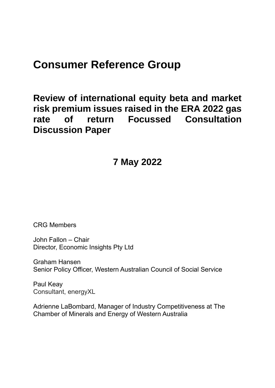# **Consumer Reference Group**

**Review of international equity beta and market risk premium issues raised in the ERA 2022 gas rate of return Focussed Consultation Discussion Paper**

## **7 May 2022**

CRG Members

John Fallon – Chair Director, Economic Insights Pty Ltd

Graham Hansen Senior Policy Officer, Western Australian Council of Social Service

Paul Keay Consultant, energyXL

Adrienne LaBombard, Manager of Industry Competitiveness at The Chamber of Minerals and Energy of Western Australia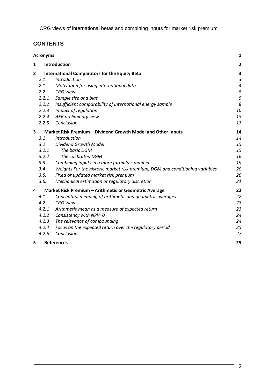## **CONTENTS**

| <b>Acronyms</b> |                                                      |                                                                              |                |  |  |
|-----------------|------------------------------------------------------|------------------------------------------------------------------------------|----------------|--|--|
| 1               | Introduction                                         |                                                                              |                |  |  |
| $\overline{2}$  | <b>International Comparators for the Equity Beta</b> |                                                                              |                |  |  |
|                 | 2.1                                                  | <b>Introduction</b>                                                          | $\mathfrak{Z}$ |  |  |
|                 | 2.1                                                  | Motivation for using international data                                      | $\sqrt{4}$     |  |  |
|                 | 2.2                                                  | <b>CRG View</b>                                                              | 5              |  |  |
|                 | 2.2.1                                                | Sample size and bias                                                         | 5              |  |  |
|                 | 2.2.2                                                | Insufficient comparability of international energy sample                    | 8              |  |  |
|                 | 2.2.3                                                | Impact of regulation                                                         | 10             |  |  |
|                 | 2.2.4                                                | AER preliminary view                                                         | 13             |  |  |
|                 | 2.2.5                                                | Conclusion                                                                   | 13             |  |  |
| 3               |                                                      | Market Risk Premium - Dividend Growth Model and Other Inputs                 | 14             |  |  |
|                 | 3.1                                                  | Introduction                                                                 | 14             |  |  |
|                 | 3.2                                                  | <b>Dividend Growth Model</b>                                                 | 15             |  |  |
|                 | 3.2.1                                                | The basic DGM                                                                | 15             |  |  |
|                 | 3.2.2                                                | The calibrated DGM                                                           | 16             |  |  |
|                 | 3.3                                                  | Combining inputs in a more formulaic manner                                  | 19             |  |  |
|                 | 3.4                                                  | Weights For the historic market risk premium, DGM and conditioning variables | 20             |  |  |
|                 | 3.5.                                                 | Fixed or updated market risk premium                                         | 20             |  |  |
|                 | 3.6.                                                 | Mechanical estimation or regulatory discretion                               | 21             |  |  |
| 4               |                                                      | Market Risk Premium - Arithmetic or Geometric Average                        | 22             |  |  |
|                 | 4.1                                                  | Conceptual meaning of arithmetic and geometric averages                      | 22             |  |  |
|                 | 4.2                                                  | <b>CRG View</b>                                                              | 23             |  |  |
|                 | 4.2.1                                                | Arithmetic mean as a measure of expected return                              | 23             |  |  |
|                 | 4.2.2                                                | Consistency with NPV=0                                                       | 24             |  |  |
|                 | 4.2.3                                                | The relevance of compounding                                                 | 24             |  |  |
|                 | 4.2.4                                                | Focus on the expected return over the regulatory period                      | 25             |  |  |
|                 | 4.2.5                                                | Conclusion                                                                   | 27             |  |  |
| 5               | <b>References</b>                                    |                                                                              | 29             |  |  |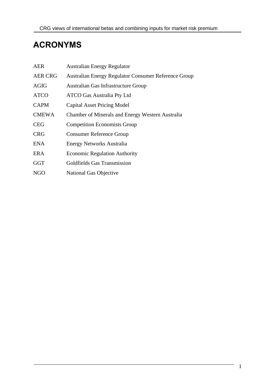## **ACRONYMS**

| <b>AER</b>     | <b>Australian Energy Regulator</b>                   |
|----------------|------------------------------------------------------|
| <b>AER CRG</b> | Australian Energy Regulator Consumer Reference Group |
| AGIG           | Australian Gas Infrastructure Group                  |
| <b>ATCO</b>    | <b>ATCO Gas Australia Pty Ltd</b>                    |
| <b>CAPM</b>    | Capital Asset Pricing Model                          |
| <b>CMEWA</b>   | Chamber of Minerals and Energy Western Australia     |
| <b>CEG</b>     | <b>Competition Economists Group</b>                  |
| <b>CRG</b>     | <b>Consumer Reference Group</b>                      |
| <b>ENA</b>     | Energy Networks Australia                            |
| <b>ERA</b>     | <b>Economic Regulation Authority</b>                 |
| <b>GGT</b>     | Goldfields Gas Transmission                          |
| <b>NGO</b>     | <b>National Gas Objective</b>                        |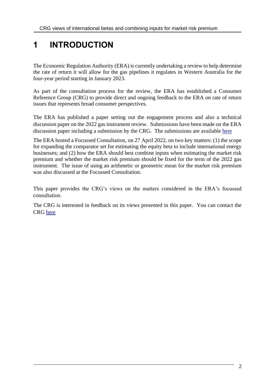## **1 INTRODUCTION**

The Economic Regulation Authority (ERA) is currently undertaking a review to help determine the rate of return it will allow for the gas pipelines it regulates in Western Australia for the four-year period starting in January 2023.

As part of the consultation process for the review, the ERA has established a Consumer Reference Group (CRG) to provide direct and ongoing feedback to the ERA on rate of return issues that represents broad consumer perspectives.

The ERA has published a paper setting out the engagement process and also a technical discussion paper on the 2022 gas instrument review. Submissions have been made on the ERA discussion paper including a submission by the CRG. The submissions are available [here](https://www.erawa.com.au/gas/gas-access/consumer-reference-group-gas-rate-of-return-instrument)

The ERA hosted a Focussed Consultation, on 27 April 2022, on two key matters: (1) the scope for expanding the comparator set for estimating the equity beta to include international energy businesses; and (2) how the ERA should best combine inputs when estimating the market risk premium and whether the market risk premium should be fixed for the term of the 2022 gas instrument. The issue of using an arithmetic or geometric mean for the market risk premium was also discussed at the Focussed Consultation.

This paper provides the CRG's views on the matters considered in the ERA's focussed consultation.

The CRG is interested in feedback on its views presented in this paper. You can contact the CRG [here](mailto:rateofreturnCRGinfo%20%3crateofreturnCRGinfo@ERAWA.com.au%3e;)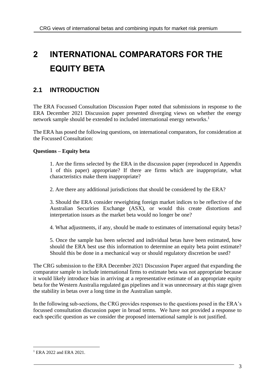# **2 INTERNATIONAL COMPARATORS FOR THE EQUITY BETA**

## **2.1 INTRODUCTION**

The ERA Focussed Consultation Discussion Paper noted that submissions in response to the ERA December 2021 Discussion paper presented diverging views on whether the energy network sample should be extended to included international energy networks. 1

The ERA has posed the following questions, on international comparators, for consideration at the Focussed Consultation:

#### **Questions – Equity beta**

1. Are the firms selected by the ERA in the discussion paper (reproduced in Appendix 1 of this paper) appropriate? If there are firms which are inappropriate, what characteristics make them inappropriate?

2. Are there any additional jurisdictions that should be considered by the ERA?

3. Should the ERA consider reweighting foreign market indices to be reflective of the Australian Securities Exchange (ASX), or would this create distortions and interpretation issues as the market beta would no longer be one?

4. What adjustments, if any, should be made to estimates of international equity betas?

5. Once the sample has been selected and individual betas have been estimated, how should the ERA best use this information to determine an equity beta point estimate? Should this be done in a mechanical way or should regulatory discretion be used?

The CRG submission to the ERA December 2021 Discussion Paper argued that expanding the comparator sample to include international firms to estimate beta was not appropriate because it would likely introduce bias in arriving at a representative estimate of an appropriate equity beta for the Western Australia regulated gas pipelines and it was unnecessary at this stage given the stability in betas over a long time in the Australian sample.

In the following sub-sections, the CRG provides responses to the questions posed in the ERA's focussed consultation discussion paper in broad terms. We have not provided a response to each specific question as we consider the proposed international sample is not justified.

<sup>&</sup>lt;sup>1</sup> ERA 2022 and ERA 2021.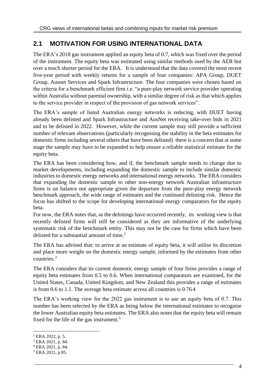## **2.1 MOTIVATION FOR USING INTERNATIONAL DATA**

The ERA's 2018 gas instrument applied an equity beta of 0.7, which was fixed over the period of the instrument. The equity beta was estimated using similar methods used by the AER but over a much shorter period for the ERA. It is understood that the data covered the most recent five-year period with weekly returns for a sample of four companies: APA Group, DUET Group, Ausnet Services and Spark Infrastructure. The four companies were chosen based on the criteria for a benchmark efficient firm i.e. "a pure-play network service provider operating within Australia without parental ownership, with a similar degree of risk as that which applies to the service provider in respect of the provision of gas network services".

The ERA's sample of listed Australian energy networks is reducing, with DUET having already been delisted and Spark Infrastructure and AusNet receiving take-over bids in 2021 and to be delisted in 2022. However, while the current sample may still provide a sufficient number of relevant observations (particularly recognising the stability in the beta estimates for domestic firms including several others that have been delisted) there is a concern that at some stage the sample may have to be expanded to help ensure a reliable statistical estimate for the equity beta.

The ERA has been considering how, and if, the benchmark sample needs to change due to market developments, including expanding the domestic sample to include similar domestic industries to domestic energy networks and international energy networks. The ERA considers that expanding the domestic sample to other non-energy network Australian infrastructure firms is on balance not appropriate given the departure from the pure-play energy network benchmark approach, the wide range of estimates and the continued delisting risk. Hence the focus has shifted to the scope for developing international energy comparators for the equity beta.

For now, the ERA notes that, as the delistings have occurred recently, its working view is that recently delisted firms will still be considered as they are informative of the underlying systematic risk of the benchmark entity. This may not be the case for firms which have been delisted for a substantial amount of time.<sup>2</sup>

The ERA has advised that: to arrive at an estimate of equity beta, it will utilise its discretion and place more weight on the domestic energy sample, informed by the estimates from other countries.<sup>3</sup>

The ERA considers that its current domestic energy sample of four firms provides a range of equity beta estimates from 0.5 to 0.6. When international comparators are examined, for the United States, Canada, United Kingdom, and New Zealand this provides a range of estimates is from 0.6 to 1.1. The average beta estimate across all countries is 0.76. 4

The ERA's working view for the 2022 gas instrument is to use an equity beta of 0.7. This number has been selected by the ERA as being below the international estimates to recognise the lower Australian equity beta estimates. The ERA also notes that the equity beta will remain fixed for the life of the gas instrument.<sup>5</sup>

<sup>2</sup> ERA 2022, p. 5.

<sup>3</sup> ERA 2021, p. 84.

<sup>4</sup> ERA 2021, p. 84.

<sup>5</sup> ERA 2021, p.85.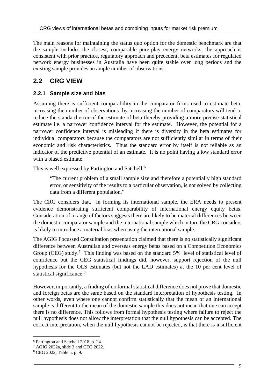The main reasons for maintaining the status quo option for the domestic benchmark are that the sample includes the closest, comparable pure-play energy networks, the approach is consistent with prior practice, regulatory approach and precedent, beta estimates for regulated network energy businesses in Australia have been quite stable over long periods and the existing sample provides an ample number of observations.

## **2.2 CRG VIEW**

#### **2.2.1 Sample size and bias**

Assuming there is sufficient comparability in the comparator firms used to estimate beta, increasing the number of observations by increasing the number of comparators will tend to reduce the standard error of the estimate of beta thereby providing a more precise statistical estimate i.e. a narrower confidence interval for the estimate. However, the potential for a narrower confidence interval is misleading if there is diversity in the beta estimates for individual comparators because the comparators are not sufficiently similar in terms of their economic and risk characteristics. Thus the standard error by itself is not reliable as an indicator of the predictive potential of an estimate. It is no point having a low standard error with a biased estimate.

This is well expressed by Partington and Satchell:<sup>6</sup>

"The current problem of a small sample size and therefore a potentially high standard error, or sensitivity of the results to a particular observation, is not solved by collecting data from a different population."

The CRG considers that, in forming its international sample, the ERA needs to present evidence demonstrating sufficient comparability of international energy equity betas. Consideration of a range of factors suggests there are likely to be material differences between the domestic comparator sample and the international sample which in turn the CRG considers is likely to introduce a material bias when using the international sample.

The AGIG Focussed Consultation presentation claimed that there is no statistically significant difference between Australian and overseas energy betas based on a Competition Economics Group (CEG) study.<sup>7</sup> This finding was based on the standard 5% level of statistical level of confidence but the CEG statistical findings did, however, support rejection of the null hypothesis for the OLS estimates (but not the LAD estimates) at the 10 per cent level of statistical significance.<sup>8</sup>

However, importantly, a finding of no formal statistical difference does not prove that domestic and foreign betas are the same based on the standard interpretation of hypothesis testing. In other words, even where one cannot confirm statistically that the mean of an international sample is different to the mean of the domestic sample this does not mean that one can accept there is no difference. This follows from formal hypothesis testing where failure to reject the null hypothesis does not allow the interpretation that the null hypothesis can be accepted. The correct interpretation, when the null hypothesis cannot be rejected, is that there is insufficient

<sup>6</sup> Partington and Satchell 2018, p. 24.

<sup>7</sup> AGIG 2022a, slide 3 and CEG 2022.

<sup>8</sup> CEG 2022, Table 5, p. 9.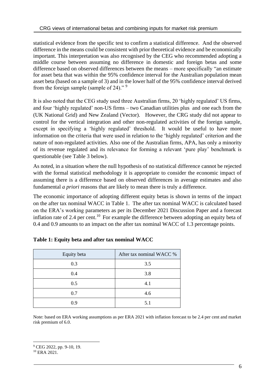statistical evidence from the specific test to confirm a statistical difference. And the observed difference in the means could be consistent with prior theoretical evidence and be economically important. This interpretation was also recognised by the CEG who recommended adopting a middle course between assuming no difference in domestic and foreign betas and some difference based on observed differences between the means – more specifically "an estimate for asset beta that was within the 95% confidence interval for the Australian population mean asset beta (based on a sample of 3) and in the lower half of the 95% confidence interval derived from the foreign sample (sample of 24)." <sup>9</sup>

It is also noted that the CEG study used three Australian firms, 20 'highly regulated' US firms, and four 'highly regulated' non-US firms – two Canadian utilities plus and one each from the (UK National Grid) and New Zealand (Vector). However, the CRG study did not appear to control for the vertical integration and other non-regulated activities of the foreign sample, except in specifying a 'highly regulated' threshold. It would be useful to have more information on the criteria that were used in relation to the 'highly regulated' criterion and the nature of non-regulated activities. Also one of the Australian firms, APA, has only a minority of its revenue regulated and its relevance for forming a relevant 'pure play' benchmark is questionable (see Table 3 below).

As noted, in a situation where the null hypothesis of no statistical difference cannot be rejected with the formal statistical methodology it is appropriate to consider the economic impact of assuming there is a difference based on observed differences in average estimates and also fundamental *a priori* reasons that are likely to mean there is truly a difference.

The economic importance of adopting different equity betas is shown in terms of the impact on the after tax nominal WACC in Table 1. The after tax nominal WACC is calculated based on the ERA's working parameters as per its December 2021 Discussion Paper and a forecast inflation rate of 2.4 per cent.<sup>10</sup> For example the difference between adopting an equity beta of 0.4 and 0.9 amounts to an impact on the after tax nominal WACC of 1.3 percentage points.

| Equity beta | After tax nominal WACC % |
|-------------|--------------------------|
| 0.3         | 3.5                      |
| 0.4         | 3.8                      |
| 0.5         | 4.1                      |
| 0.7         | 4.6                      |
| 0.9         | 5.1                      |

| Table 1: Equity beta and after tax nominal WACC |
|-------------------------------------------------|
|-------------------------------------------------|

Note: based on ERA working assumptions as per ERA 2021 with inflation forecast to be 2.4 per cent and market risk premium of 6.0.

<sup>9</sup> CEG 2022, pp. 9-10, 19.

 $10$  ERA 2021.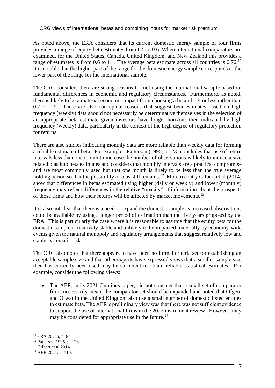As noted above, the ERA considers that its current domestic energy sample of four firms provides a range of equity beta estimates from 0.5 to 0.6. When international comparators are examined, for the United States, Canada, United Kingdom, and New Zealand this provides a range of estimates is from 0.6 to 1.1. The average beta estimate across all countries is  $0.76$ .<sup>11</sup> It is notable that the higher part of the range for the domestic energy sample corresponds to the lower part of the range for the international sample.

The CRG considers there are strong reasons for not using the international sample based on fundamental differences in economic and regulatory circumstances. Furthermore, as noted, there is likely to be a material economic impact from choosing a beta of 0.4 or less rather than 0.7 or 0.9, There are also conceptual reasons that suggest beta estimates based on high frequency (weekly) data should not necessarily be determinative themselves in the selection of an appropriate beta estimate given investors have longer horizons then indicated by high frequency (weekly) data, particularly in the context of the high degree of regulatory protection for returns.

There are also studies indicating monthly data are more reliable than weekly data for forming a reliable estimate of beta. For example, Patterson (1995, p.123) concludes that use of return intervals less than one month to increase the number of observations is likely to induce a size related bias into beta estimates and considers that monthly intervals are a practical compromise and are most commonly used but that one month is likely to be less than the true average holding period so that the possibility of bias still remains.<sup>12</sup> More recently Gilbert et al (2014) show that differences in betas estimated using higher (daily or weekly) and lower (monthly) frequency may reflect differences in the relative "opacity" of information about the prospects of those firms and how their returns will be affected by market movements.<sup>13</sup>

It is also not clear that there is a need to expand the domestic sample as increased observations could be available by using a longer period of estimation than the five years proposed by the ERA. This is particularly the case where it is reasonable to assume that the equity beta for the domestic sample is relatively stable and unlikely to be impacted materially by economy-wide events given the natural monopoly and regulatory arrangements that suggest relatively low and stable systematic risk.

The CRG also notes that there appears to have been no formal criteria set for establishing an acceptable sample size and that other experts have expressed views that a smaller sample size then has currently been used may be sufficient to obtain reliable statistical estimates. For example, consider the following views:

• The AER, in its 2021 Omnibus paper, did not consider that a small set of comparator firms necessarily meant the comparator set should be expanded and noted that Ofgem and Ofwat in the United Kingdom also use a small number of domestic listed entities to estimate beta. The AER's preliminary view was that there was not sufficient evidence to support the use of international firms in the 2022 instrument review. However, they may be considered for appropriate use in the future.<sup>14</sup>

<sup>11</sup> ERA 2021a, p. 84.

<sup>12</sup> Patterson 1995, p. 123.

 $13$  Gilbert et al 2014.

<sup>&</sup>lt;sup>14</sup> AER 2021, p. 110.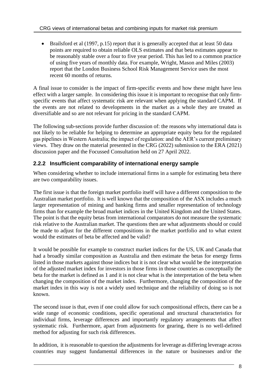• Brailsford et al (1997, p.15) report that it is generally accepted that at least 50 data points are required to obtain reliable OLS estimates and that beta estimates appear to be reasonably stable over a four to five year period. This has led to a common practice of using five years of monthly data. For example, Wright, Mason and Miles (2003) report that the London Business School Risk Management Service uses the most recent 60 months of returns.

A final issue to consider is the impact of firm-specific events and how these might have less effect with a larger sample. In considering this issue it is important to recognise that only firmspecific events that affect systematic risk are relevant when applying the standard CAPM. If the events are not related to developments in the market as a whole they are treated as diversifiable and so are not relevant for pricing in the standard CAPM.

The following sub-sections provide further discussion of: the reasons why international data is not likely to be reliable for helping to determine an appropriate equity beta for the regulated gas pipelines in Western Australia; the impact of regulation: and the AER's current preliminary views. They draw on the material presented in the CRG (2022) submission to the ERA (2021) discussion paper and the Focussed Consultation held on 27 April 2022.

#### **2.2.2 Insufficient comparability of international energy sample**

When considering whether to include international firms in a sample for estimating beta there are two comparability issues.

The first issue is that the foreign market portfolio itself will have a different composition to the Australian market portfolio. It is well known that the composition of the ASX includes a much larger representation of mining and banking firms and smaller representation of technology firms than for example the broad market indices in the United Kingdom and the United States. The point is that the equity betas from international comparators do not measure the systematic risk relative to the Australian market. The questions then are what adjustments should or could be made to adjust for the different compositions in the market portfolio and to what extent would the estimates of beta be affected and be valid?

It would be possible for example to construct market indices for the US, UK and Canada that had a broadly similar composition as Australia and then estimate the betas for energy firms listed in those markets against those indices but it is not clear what would be the interpretation of the adjusted market index for investors in those firms in those countries as conceptually the beta for the market is defined as 1 and it is not clear what is the interpretation of the beta when changing the composition of the market index. Furthermore, changing the composition of the market index in this way is not a widely used technique and the reliability of doing so is not known.

The second issue is that, even if one could allow for such compositional effects, there can be a wide range of economic conditions, specific operational and structural characteristics for individual firms, leverage differences and importantly regulatory arrangements that affect systematic risk. Furthermore, apart from adjustments for gearing, there is no well-defined method for adjusting for such risk differences.

In addition, it is reasonable to question the adjustments for leverage as differing leverage across countries may suggest fundamental differences in the nature or businesses and/or the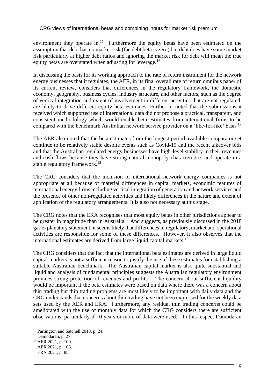environment they operate in.<sup>15</sup> Furthermore the equity betas have been estimated on the assumption that debt has no market risk (the debt beta is zero) but debt does have some market risk particularly at higher debt ratios and ignoring the market risk for debt will mean the true equity betas are overstated when adjusting for leverage.<sup>16</sup>

In discussing the basis for its working approach to the rate of return instrument for the network energy businesses that it regulates, the AER, in its final overall rate of return omnibus paper of its current review, considers that differences in the regulatory framework, the domestic economy, geography, business cycles, industry structure, and other factors, such as the degree of vertical integration and extent of involvement in different activities that are not regulated, are likely to drive different equity beta estimates. Further, it noted that the submissions it received which supported use of international data did not propose a practical, transparent, and consistent methodology which would enable beta estimates from international firms to be compared with the benchmark Australian network service provider on a 'like-for-like' basis<sup>17</sup>

The AER also noted that the beta estimates from the longest period available comparator set continue to be relatively stable despite events such as Covid-19 and the recent takeover bids and that the Australian regulated energy businesses have high-level stability in their revenues and cash flows because they have strong natural monopoly characteristics and operate in a stable regulatory framework.<sup>18</sup>

The CRG considers that the inclusion of international network energy companies is not appropriate at all because of material differences in capital markets, economic features of international energy firms including vertical integration of generation and network services and the presence of other non-regulated activities and likely differences in the nature and extent of application of the regulatory arrangements. It is also not necessary at this stage.

The CRG notes that the ERA recognises that most equity betas in other jurisdictions appear to be greater in magnitude than in Australia. And suggests, as previously discussed in the 2018 gas explanatory statement, it seems likely that differences in regulatory, market and operational activities are responsible for some of these differences. However, it also observes that the international estimates are derived from large liquid capital markets.<sup>19</sup>

The CRG considers that the fact that the international beta estimates are derived in large liquid capital markets is not a sufficient reason to justify the use of these estimates for establishing a suitable Australian benchmark. The Australian capital market is also quite substantial and liquid and analysis of fundamental principles suggests the Australian regulatory environment provides strong protection of revenues and profits. The concern about sufficient liquidity would be important if the beta estimates were based on data where there was a concern about thin trading but thin trading problems are most likely to be important with daily data and the CRG understands that concerns about thin trading have not been expressed for the weekly data sets used by the AER and ERA. Furthermore, any residual thin trading concerns could be ameliorated with the use of monthly data for which the CRG considers there are sufficient observations, particularly if 10 years or more of data were used. In this respect Damodaran

<sup>15</sup> Partington and Satchell 2018, p. 24.

<sup>16</sup> Damodaran, p. 27.

<sup>&</sup>lt;sup>17</sup> AER 2021, p. 109.

<sup>18</sup> AER 2021, p. 106.

<sup>19</sup> ERA 2021, p. 85.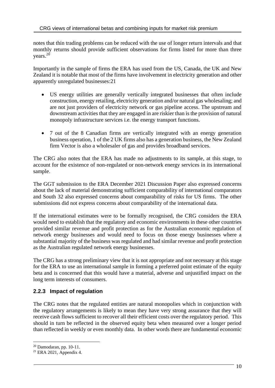notes that thin trading problems can be reduced with the use of longer return intervals and that monthly returns should provide sufficient observations for firms listed for more than three years.<sup>20</sup>

Importantly in the sample of firms the ERA has used from the US, Canada, the UK and New Zealand it is notable that most of the firms have involvement in electricity generation and other apparently unregulated businesses:21

- US energy utilities are generally vertically integrated businesses that often include construction, energy retailing, electricity generation and/or natural gas wholesaling; and are not just providers of electricity network or gas pipeline access. The upstream and downstream activities that they are engaged in are riskier than is the provision of natural monopoly infrastructure services i.e. the energy transport functions.
- 7 out of the 8 Canadian firms are vertically integrated with an energy generation business operation, 1 of the 2 UK firms also has a generation business, the New Zealand firm Vector is also a wholesaler of gas and provides broadband services.

The CRG also notes that the ERA has made no adjustments to its sample, at this stage, to account for the existence of non-regulated or non-network energy services in its international sample.

The GGT submission to the ERA December 2021 Discussion Paper also expressed concerns about the lack of material demonstrating sufficient comparability of international comparators and South 32 also expressed concerns about comparability of risks for US firms. The other submissions did not express concerns about comparability of the international data.

If the international estimates were to be formally recognised, the CRG considers the ERA would need to establish that the regulatory and economic environments in these other countries provided similar revenue and profit protection as for the Australian economic regulation of network energy businesses and would need to focus on those energy businesses where a substantial majority of the business was regulated and had similar revenue and profit protection as the Australian regulated network energy businesses.

The CRG has a strong preliminary view that it is not appropriate and not necessary at this stage for the ERA to use an international sample in forming a preferred point estimate of the equity beta and is concerned that this would have a material, adverse and unjustified impact on the long term interests of consumers.

#### **2.2.3 Impact of regulation**

The CRG notes that the regulated entities are natural monopolies which in conjunction with the regulatory arrangements is likely to mean they have very strong assurance that they will receive cash flows sufficient to recover all their efficient costs over the regulatory period. This should in turn be reflected in the observed equity beta when measured over a longer period than reflected in weekly or even monthly data. In other words there are fundamental economic

<sup>20</sup> Damodaran, pp. 10-11.

 $21$  ERA 2021, Appendix 4.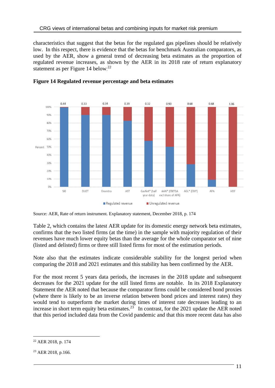characteristics that suggest that the betas for the regulated gas pipelines should be relatively low. In this respect, there is evidence that the betas for benchmark Australian comparators, as used by the AER, show a general trend of decreasing beta estimates as the proportion of regulated revenue increases, as shown by the AER in its 2018 rate of return explanatory statement as per Figure 14 below.<sup>22</sup>





Source: AER, Rate of return instrument. Explanatory statement, December 2018, p. 174

Table 2, which contains the latest AER update for its domestic energy network beta estimates, confirms that the two listed firms (at the time) in the sample with majority regulation of their revenues have much lower equity betas than the average for the whole comparator set of nine (listed and delisted) firms or three still listed firms for most of the estimation periods.

Note also that the estimates indicate considerable stability for the longest period when comparing the 2018 and 2021 estimates and this stability has been confirmed by the AER.

For the most recent 5 years data periods, the increases in the 2018 update and subsequent decreases for the 2021 update for the still listed firms are notable. In its 2018 Explanatory Statement the AER noted that because the comparator firms could be considered bond proxies (where there is likely to be an inverse relation between bond prices and interest rates) they would tend to outperform the market during times of interest rate decreases leading to an increase in short term equity beta estimates.<sup>23</sup> In contrast, for the 2021 update the AER noted that this period included data from the Covid pandemic and that this more recent data has also

<sup>22</sup> AER 2018, p. 174

<sup>&</sup>lt;sup>23</sup> AER 2018, p.166.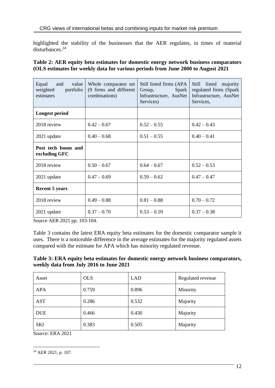highlighted the stability of the businesses that the AER regulates, in times of material disturbances.<sup>24</sup>

**Table 2: AER equity beta estimates for domestic energy network business comparators (OLS estimates for weekly data for various periods from June 2000 to August 2021**

| Equal<br>and<br>value<br>weighted<br>portfolio<br>estimates | Whole comparator set<br>(9 firms and different<br>combinations) | Still listed firms (APA)<br>Group,<br>Spark<br>Infrastructure, AusNet<br>Services) | majority<br>listed<br>Still<br>regulated firms (Spark<br>Infrastructure, AusNet<br>Services, |
|-------------------------------------------------------------|-----------------------------------------------------------------|------------------------------------------------------------------------------------|----------------------------------------------------------------------------------------------|
| Longest period                                              |                                                                 |                                                                                    |                                                                                              |
| 2018 review                                                 | $0.42 - 0.67$                                                   | $0.52 - 0.55$                                                                      | $0.42 - 0.43$                                                                                |
| 2021 update                                                 | $0.40 - 0.68$                                                   | $0.51 - 0.55$                                                                      | $0.40 - 0.41$                                                                                |
| Post tech boom and<br>excluding GFC                         |                                                                 |                                                                                    |                                                                                              |
| 2018 review                                                 | $0.50 - 0.67$                                                   | $0.64 - 0.67$                                                                      | $0.52 - 0.53$                                                                                |
| 2021 update                                                 | $0.47 - 0.69$                                                   | $0.59 - 0.62$                                                                      | $0.47 - 0.47$                                                                                |
| <b>Recent 5 years</b>                                       |                                                                 |                                                                                    |                                                                                              |
| 2018 review                                                 | $0.49 - 0.88$                                                   | $0.81 - 0.88$                                                                      | $0.70 - 0.72$                                                                                |
| 2021 update                                                 | $0.37 - 0.70$                                                   | $0.53 - 0.59$                                                                      | $0.37 - 0.38$                                                                                |

Source AER 2021 pp. 103-104.

Table 3 contains the latest ERA equity beta estimates for the domestic comparator sample it uses. There is a noticeable difference in the average estimates for the majority regulated assets compared with the estimate for APA which has minority regulated revenue.

**Table 3: ERA equity beta estimates for domestic energy network business comparators, weekly data from July 2016 to June 2021**

| Asset      | <b>OLS</b> | <b>LAD</b> | Regulated revenue |
|------------|------------|------------|-------------------|
| <b>APA</b> | 0.759      | 0.896      | Minority          |
| <b>AST</b> | 0.286      | 0.532      | Majority          |
| <b>DUE</b> | 0.466      | 0.430      | Majority          |
| <b>SKI</b> | 0.383      | 0.505      | Majority          |

Source: ERA 2021

 $24$  AER 2021, p. 107.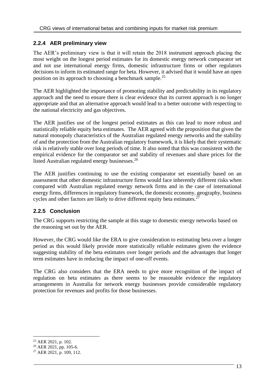#### **2.2.4 AER preliminary view**

The AER's preliminary view is that it will retain the 2018 instrument approach placing the most weight on the longest period estimates for its domestic energy network comparator set and not use international energy firms, domestic infrastructure firms or other regulators decisions to inform its estimated range for beta. However, it advised that it would have an open position on its approach to choosing a benchmark sample.<sup>25</sup>

The AER highlighted the importance of promoting stability and predictability in its regulatory approach and the need to ensure there is clear evidence that its current approach is no longer appropriate and that an alternative approach would lead to a better outcome with respecting to the national electricity and gas objectives.

The AER justifies use of the longest period estimates as this can lead to more robust and statistically reliable equity beta estimates. The AER agreed with the proposition that given the natural monopoly characteristics of the Australian regulated energy networks and the stability of and the protection from the Australian regulatory framework, it is likely that their systematic risk is relatively stable over long periods of time. It also noted that this was consistent with the empirical evidence for the comparator set and stability of revenues and share prices for the listed Australian regulated energy businesses.<sup>26</sup>

The AER justifies continuing to use the existing comparator set essentially based on an assessment that other domestic infrastructure firms would face inherently different risks when compared with Australian regulated energy network firms and in the case of international energy firms, differences in regulatory framework, the domestic economy, geography, business cycles and other factors are likely to drive different equity beta estimates.<sup>27</sup>

#### **2.2.5 Conclusion**

The CRG supports restricting the sample at this stage to domestic energy networks based on the reasoning set out by the AER.

However, the CRG would like the ERA to give consideration to estimating beta over a longer period as this would likely provide more statistically reliable estimates given the evidence suggesting stability of the beta estimates over longer periods and the advantages that longer term estimates have in reducing the impact of one-off events.

The CRG also considers that the ERA needs to give more recognition of the impact of regulation on beta estimates as there seems to be reasonable evidence the regulatory arrangements in Australia for network energy businesses provide considerable regulatory protection for revenues and profits for those businesses.

<sup>25</sup> AER 2021, p. 102.

 $26$  AER 2021, pp. 105-6.

 $27$  AER 2021, p. 109, 112.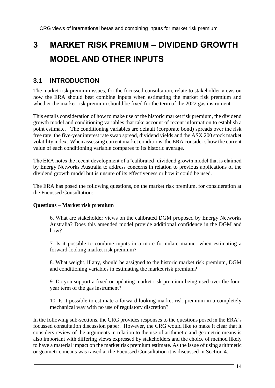# **3 MARKET RISK PREMIUM – DIVIDEND GROWTH MODEL AND OTHER INPUTS**

## **3.1 INTRODUCTION**

The market risk premium issues, for the focussed consultation, relate to stakeholder views on how the ERA should best combine inputs when estimating the market risk premium and whether the market risk premium should be fixed for the term of the 2022 gas instrument.

This entails consideration of how to make use of the historic market risk premium, the dividend growth model and conditioning variables that take account of recent information to establish a point estimate. The conditioning variables are default (corporate bond) spreads over the risk free rate, the five-year interest rate swap spread, dividend yields and the ASX 200 stock market volatility index. When assessing current market conditions, the ERA consider s how the current value of each conditioning variable compares to its historic average.

The ERA notes the recent development of a 'calibrated' dividend growth model that is claimed by Energy Networks Australia to address concerns in relation to previous applications of the dividend growth model but is unsure of its effectiveness or how it could be used.

The ERA has posed the following questions, on the market risk premium. for consideration at the Focussed Consultation:

#### **Questions – Market risk premium**

6. What are stakeholder views on the calibrated DGM proposed by Energy Networks Australia? Does this amended model provide additional confidence in the DGM and how?

7. Is it possible to combine inputs in a more formulaic manner when estimating a forward-looking market risk premium?

8. What weight, if any, should be assigned to the historic market risk premium, DGM and conditioning variables in estimating the market risk premium?

9. Do you support a fixed or updating market risk premium being used over the fouryear term of the gas instrument?

10. Is it possible to estimate a forward looking market risk premium in a completely mechanical way with no use of regulatory discretion?

In the following sub-sections, the CRG provides responses to the questions posed in the ERA's focussed consultation discussion paper. However, the CRG would like to make it clear that it considers review of the arguments in relation to the use of arithmetic and geometric means is also important with differing views expressed by stakeholders and the choice of method likely to have a material impact on the market risk premium estimate. As the issue of using arithmetic or geometric means was raised at the Focussed Consultation it is discussed in Section 4.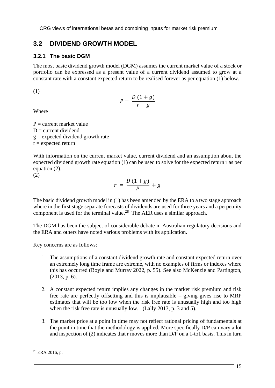#### **3.2 DIVIDEND GROWTH MODEL**

#### **3.2.1 The basic DGM**

The most basic dividend growth model (DGM) assumes the current market value of a stock or portfolio can be expressed as a present value of a current dividend assumed to grow at a constant rate with a constant expected return to be realised forever as per equation (1) below.

(1)

$$
P = \frac{D(1+g)}{r-g}
$$

**Where** 

 $P =$  current market value  $D =$  current dividend  $g =$  expected dividend growth rate  $r =$  expected return

With information on the current market value, current dividend and an assumption about the expected dividend growth rate equation (1) can be used to solve for the expected return r as per equation (2).

(2)

$$
r = \frac{D(1+g)}{P} + g
$$

The basic dividend growth model in (1) has been amended by the ERA to a two stage approach where in the first stage separate forecasts of dividends are used for three years and a perpetuity component is used for the terminal value.<sup>28</sup> The AER uses a similar approach.

The DGM has been the subject of considerable debate in Australian regulatory decisions and the ERA and others have noted various problems with its application.

Key concerns are as follows:

- 1. The assumptions of a constant dividend growth rate and constant expected return over an extremely long time frame are extreme, with no examples of firms or indexes where this has occurred (Boyle and Murray 2022, p. 55). See also McKenzie and Partington, (2013, p. 6).
- 2. A constant expected return implies any changes in the market risk premium and risk free rate are perfectly offsetting and this is implausible – giving gives rise to MRP estimates that will be too low when the risk free rate is unusually high and too high when the risk free rate is unusually low. (Lally 2013, p. 3 and 5).
- 3. The market price at a point in time may not reflect rational pricing of fundamentals at the point in time that the methodology is applied. More specifically D/P can vary a lot and inspection of (2) indicates that r moves more than D/P on a 1-to1 basis. This in turn

 $28$  ERA 2016, p.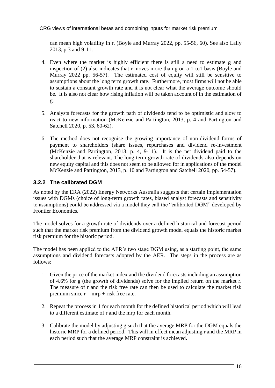can mean high volatility in r. (Boyle and Murray 2022, pp. 55-56, 60). See also Lally 2013, p.3 and 9-11.

- 4. Even where the market is highly efficient there is still a need to estimate g and inspection of (2) also indicates that r moves more than g on a 1-to1 basis (Boyle and Murray 2022 pp. 56-57). The estimated cost of equity will still be sensitive to assumptions about the long term growth rate. Furthermore, most firms will not be able to sustain a constant growth rate and it is not clear what the average outcome should be. It is also not clear how rising inflation will be taken account of in the estimation of g.
- 5. Analysts forecasts for the growth path of dividends tend to be optimistic and slow to react to new information (McKenzie and Partington, 2013, p. 4 and Partington and Satchell 2020, p. 53, 60-62).
- 6. The method does not recognise the growing importance of non-dividend forms of payment to shareholders (share issues, repurchases and dividend re-investment (McKenzie and Partington, 2013, p. 4, 9-11). It is the net dividend paid to the shareholder that is relevant. The long term growth rate of dividends also depends on new equity capital and this does not seem to be allowed for in applications of the model McKenzie and Partington, 2013, p. 10 and Partington and Satchell 2020, pp. 54-57).

#### **3.2.2 The calibrated DGM**

As noted by the ERA (2022) Energy Networks Australia suggests that certain implementation issues with DGMs (choice of long-term growth rates, biased analyst forecasts and sensitivity to assumptions) could be addressed via a model they call the "calibrated DGM" developed by Frontier Economics.

The model solves for a growth rate of dividends over a defined historical and forecast period such that the market risk premium from the dividend growth model equals the historic market risk premium for the historic period.

The model has been applied to the AER's two stage DGM using, as a starting point, the same assumptions and dividend forecasts adopted by the AER. The steps in the process are as follows:

- 1. Given the price of the market index and the dividend forecasts including an assumption of 4.6% for g (the growth of dividends) solve for the implied return on the market r. The measure of r and the risk free rate can then be used to calculate the market risk premium since  $r = mrp + risk$  free rate.
- 2. Repeat the process in 1 for each month for the defined historical period which will lead to a different estimate of r and the mrp for each month.
- 3. Calibrate the model by adjusting g such that the average MRP for the DGM equals the historic MRP for a defined period. This will in effect mean adjusting r and the MRP in each period such that the average MRP constraint is achieved.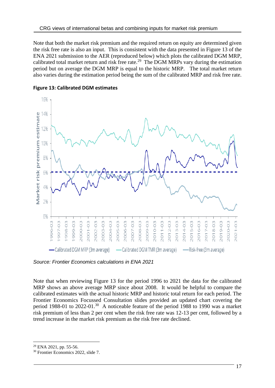Note that both the market risk premium and the required return on equity are determined given the risk free rate is also an input. This is consistent with the data presented in Figure 13 of the ENA 2021 submission to the AER (reproduced below) which plots the calibrated DGM MRP, calibrated total market return and risk free rate.<sup>29</sup> The DGM MRPs vary during the estimation period but on average the DGM MRP is equal to the historic MRP. The total market return also varies during the estimation period being the sum of the calibrated MRP and risk free rate.



#### **Figure 13: Calibrated DGM estimates**

*Source: Frontier Economics calculations in ENA 2021*

Note that when reviewing Figure 13 for the period 1996 to 2021 the data for the calibrated MRP shows an above average MRP since about 2008. It would be helpful to compare the calibrated estimates with the actual historic MRP and historic total return for each period. The Frontier Economics Focussed Consultation slides provided an updated chart covering the period 1988-01 to 2022-01.<sup>30</sup> A noticeable feature of the period 1988 to 1990 was a market risk premium of less than 2 per cent when the risk free rate was 12-13 per cent, followed by a trend increase in the market risk premium as the risk free rate declined.

<sup>29</sup> ENA 2021, pp. 55-56.

<sup>&</sup>lt;sup>30</sup> Frontier Economics 2022, slide 7.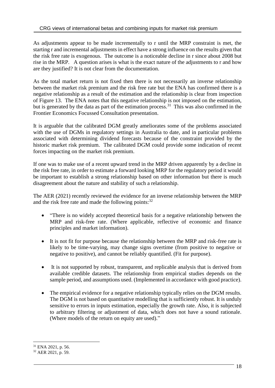As adjustments appear to be made incrementally to r until the MRP constraint is met, the starting r and incremental adjustments in effect have a strong influence on the results given that the risk free rate is exogenous. The outcome is a noticeable decline in r since about 2008 but rise in the MRP. A question arises is what is the exact nature of the adjustments to r and how are they justified? It is not clear from the documentation.

As the total market return is not fixed then there is not necessarily an inverse relationship between the market risk premium and the risk free rate but the ENA has confirmed there is a negative relationship as a result of the estimation and the relationship is clear from inspection of Figure 13. The ENA notes that this negative relationship is not imposed on the estimation, but is generated by the data as part of the estimation process.<sup>31</sup> This was also confirmed in the Frontier Economics Focussed Consultation presentation.

It is arguable that the calibrated DGM greatly ameliorates some of the problems associated with the use of DGMs in regulatory settings in Australia to date, and in particular problems associated with determining dividend forecasts because of the constraint provided by the historic market risk premium. The calibrated DGM could provide some indication of recent forces impacting on the market risk premium.

If one was to make use of a recent upward trend in the MRP driven apparently by a decline in the risk free rate, in order to estimate a forward looking MRP for the regulatory period it would be important to establish a strong relationship based on other information but there is much disagreement about the nature and stability of such a relationship.

The AER (2021) recently reviewed the evidence for an inverse relationship between the MRP and the risk free rate and made the following points: $32$ 

- "There is no widely accepted theoretical basis for a negative relationship between the MRP and risk-free rate. (Where applicable, reflective of economic and finance principles and market information).
- It is not fit for purpose because the relationship between the MRP and risk-free rate is likely to be time-varying, may change signs overtime (from positive to negative or negative to positive), and cannot be reliably quantified. (Fit for purpose).
- It is not supported by robust, transparent, and replicable analysis that is derived from available credible datasets. The relationship from empirical studies depends on the sample period, and assumptions used. (Implemented in accordance with good practice).
- The empirical evidence for a negative relationship typically relies on the DGM results. The DGM is not based on quantitative modelling that is sufficiently robust. It is unduly sensitive to errors in inputs estimation, especially the growth rate. Also, it is subjected to arbitrary filtering or adjustment of data, which does not have a sound rationale. (Where models of the return on equity are used)."

<sup>31</sup> ENA 2021, p. 56.

 $32$  AER 2021, p. 59.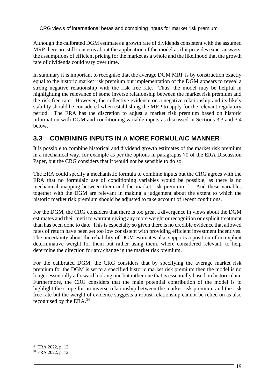Although the calibrated DGM estimates a growth rate of dividends consistent with the assumed MRP there are still concerns about the application of the model as if it provides exact answers, the assumptions of efficient pricing for the market as a whole and the likelihood that the growth rate of dividends could vary over time.

In summary it is important to recognise that the average DGM MRP is by construction exactly equal to the historic market risk premium but implementation of the DGM appears to reveal a strong negative relationship with the risk free rate. Thus, the model may be helpful in highlighting the relevance of some inverse relationship between the market risk premium and the risk free rate. However, the collective evidence on a negative relationship and its likely stability should be considered when establishing the MRP to apply for the relevant regulatory period. The ERA has the discretion to adjust a market risk premium based on historic information with DGM and conditioning variable inputs as discussed in Sections 3.3 and 3.4 below.

### **3.3 COMBINING INPUTS IN A MORE FORMULAIC MANNER**

It is possible to combine historical and dividend growth estimates of the market risk premium in a mechanical way, for example as per the options in paragraphs 70 of the ERA Discussion Paper, but the CRG considers that it would not be sensible to do so.

The ERA could specify a mechanistic formula to combine inputs but the CRG agrees with the ERA that no formulaic use of conditioning variables would be possible, as there is no mechanical mapping between them and the market risk premium.<sup>33</sup> And these variables together with the DGM are relevant in making a judgement about the extent to which the historic market risk premium should be adjusted to take account of recent conditions.

For the DGM, the CRG considers that there is too great a divergence in views about the DGM estimates and their merit to warrant giving any more weight or recognition or explicit treatment than has been done to date. This is especially so given there is no credible evidence that allowed rates of return have been set too low consistent with providing efficient investment incentives. The uncertainty about the reliability of DGM estimates also supports a position of no explicit determinative weight for them but rather using them, where considered relevant, to help determine the direction for any change in the market risk premium.

For the calibrated DGM, the CRG considers that by specifying the average market risk premium for the DGM is set to a specified historic market risk premium then the model is no longer essentially a forward looking one but rather one that is essentially based on historic data. Furthermore, the CRG considers that the main potential contribution of the model is to highlight the scope for an inverse relationship between the market risk premium and the risk free rate but the weight of evidence suggests a robust relationship cannot be relied on as also recognised by the ERA.<sup>34</sup>

<sup>33</sup> ERA 2022, p. 12.

 $34$  ERA 2022, p. 12.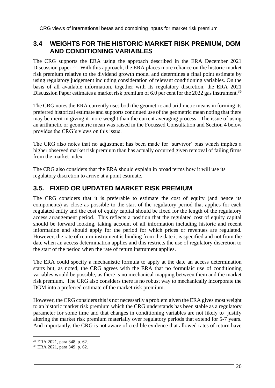### **3.4 WEIGHTS FOR THE HISTORIC MARKET RISK PREMIUM, DGM AND CONDITIONING VARIABLES**

The CRG supports the ERA using the approach described in the ERA December 2021 Discussion paper.<sup>35</sup> With this approach, the ERA places more reliance on the historic market risk premium relative to the dividend growth model and determines a final point estimate by using regulatory judgement including consideration of relevant conditioning variables. On the basis of all available information, together with its regulatory discretion, the ERA 2021 Discussion Paper estimates a market risk premium of 6.0 per cent for the 2022 gas instrument.<sup>36</sup>

The CRG notes the ERA currently uses both the geometric and arithmetic means in forming its preferred historical estimate and supports continued use of the geometric mean noting that there may be merit in giving it more weight than the current averaging process. The issue of using an arithmetic or geometric mean was raised in the Focussed Consultation and Section 4 below provides the CRG's views on this issue.

The CRG also notes that no adjustment has been made for 'survivor' bias which implies a higher observed market risk premium than has actually occurred given removal of failing firms from the market index.

The CRG also considers that the ERA should explain in broad terms how it will use its regulatory discretion to arrive at a point estimate.

## **3.5. FIXED OR UPDATED MARKET RISK PREMIUM**

The CRG considers that it is preferable to estimate the cost of equity (and hence its components) as close as possible to the start of the regulatory period that applies for each regulated entity and the cost of equity capital should be fixed for the length of the regulatory access arrangement period. This reflects a position that the regulated cost of equity capital should be forward looking, taking account of all information including historic and recent information and should apply for the period for which prices or revenues are regulated. However, the rate of return instrument is binding from the date it is specified and not from the date when an access determination applies and this restricts the use of regulatory discretion to the start of the period when the rate of return instrument applies.

The ERA could specify a mechanistic formula to apply at the date an access determination starts but, as noted, the CRG agrees with the ERA that no formulaic use of conditioning variables would be possible, as there is no mechanical mapping between them and the market risk premium. The CRG also considers there is no robust way to mechanically incorporate the DGM into a preferred estimate of the market risk premium.

However, the CRG considers this is not necessarily a problem given the ERA gives most weight to an historic market risk premium which the CRG understands has been stable as a regulatory parameter for some time and that changes in conditioning variables are not likely to justify altering the market risk premium materially over regulatory periods that extend for 5-7 years. And importantly, the CRG is not aware of credible evidence that allowed rates of return have

<sup>35</sup> ERA 2021, para 348, p. 62.

<sup>36</sup> ERA 2021, para 349, p. 62.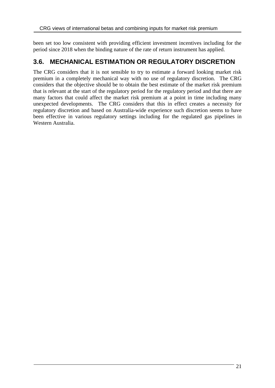been set too low consistent with providing efficient investment incentives including for the period since 2018 when the binding nature of the rate of return instrument has applied.

### **3.6. MECHANICAL ESTIMATION OR REGULATORY DISCRETION**

The CRG considers that it is not sensible to try to estimate a forward looking market risk premium in a completely mechanical way with no use of regulatory discretion. The CRG considers that the objective should be to obtain the best estimate of the market risk premium that is relevant at the start of the regulatory period for the regulatory period and that there are many factors that could affect the market risk premium at a point in time including many unexpected developments. The CRG considers that this in effect creates a necessity for regulatory discretion and based on Australia-wide experience such discretion seems to have been effective in various regulatory settings including for the regulated gas pipelines in Western Australia.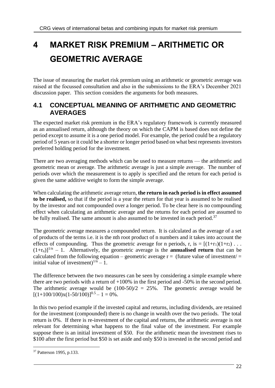# **4 MARKET RISK PREMIUM – ARITHMETIC OR GEOMETRIC AVERAGE**

The issue of measuring the market risk premium using an arithmetic or geometric average was raised at the focussed consultation and also in the submissions to the ERA's December 2021 discussion paper. This section considers the arguments for both measures.

### **4.1 CONCEPTUAL MEANING OF ARITHMETIC AND GEOMETRIC AVERAGES**

The expected market risk premium in the ERA's regulatory framework is currently measured as an annualised return, although the theory on which the CAPM is based does not define the period except to assume it is a one period model. For example, the period could be a regulatory period of 5 years or it could be a shorter or longer period based on what best represents investors preferred holding period for the investment.

There are two averaging methods which can be used to measure returns — the arithmetic and geometric mean or average. The arithmetic average is just a simple average. The number of periods over which the measurement is to apply is specified and the return for each period is given the same additive weight to form the simple average.

When calculating the arithmetic average return, **the return in each period is in effect assumed to be realised,** so that if the period is a year the return for that year is assumed to be realised by the investor and not compounded over a longer period. To be clear here is no compounding effect when calculating an arithmetic average and the returns for each period are assumed to be fully realised. The same amount is also assumed to be invested in each period.<sup>37</sup>

The geometric average measures a compounded return. It is calculated as the average of a set of products of the terms i.e. it is the nth root product of n numbers and it takes into account the effects of compounding. Thus the geometric average for n periods, r, is =  $[(1+r_1)(1+r_2) \dots$  $(1+r_n)$ <sup> $1/n$ </sup> – 1. Alternatively, the geometric average is the **annualised return** that can be calculated from the following equation – geometric average  $r =$  (future value of investment/ = initial value of investment) $1/n - 1$ .

The difference between the two measures can be seen by considering a simple example where there are two periods with a return of  $+100\%$  in the first period and  $-50\%$  in the second period. The arithmetic average would be  $(100-50)/2 = 25%$ . The geometric average would be  $[(1+100/100)x(1-50/100)]^{0.5} - 1 = 0\%$ .

In this two period example if the invested capital and returns, including dividends, are retained for the investment (compounded) there is no change in wealth over the two periods. The total return is 0%. If there is re-investment of the capital and returns, the arithmetic average is not relevant for determining what happens to the final value of the investment. For example suppose there is an initial investment of \$50. For the arithmetic mean the investment rises to \$100 after the first period but \$50 is set aside and only \$50 is invested in the second period and

<sup>37</sup> Patterson 1995, p.133.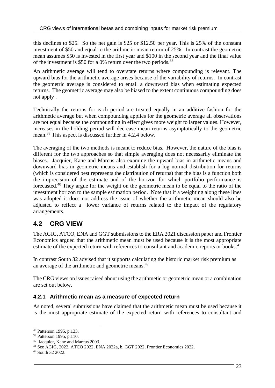this declines to \$25. So the net gain is \$25 or \$12.50 per year. This is 25% of the constant investment of \$50 and equal to the arithmetic mean return of 25%. In contrast the geometric mean assumes \$50 is invested in the first year and \$100 in the second year and the final value of the investment is \$50 for a 0% return over the two periods.<sup>38</sup>

An arithmetic average will tend to overstate returns where compounding is relevant. The upward bias for the arithmetic average arises because of the variability of returns. In contrast the geometric average is considered to entail a downward bias when estimating expected returns. The geometric average may also be biased to the extent continuous compounding does not apply .

Technically the returns for each period are treated equally in an additive fashion for the arithmetic average but when compounding applies for the geometric average all observations are not equal because the compounding in effect gives more weight to larger values. However, increases in the holding period will decrease mean returns asymptotically to the geometric mean.<sup>39</sup> This aspect is discussed further in 4.2.4 below.

The averaging of the two methods is meant to reduce bias. However, the nature of the bias is different for the two approaches so that simple averaging does not necessarily eliminate the biases. Jacquier, Kane and Marcus also examine the upward bias in arithmetic means and downward bias in geometric means and establish for a log normal distribution for returns (which is considered best represents the distribution of returns) that the bias is a function both the imprecision of the estimate and of the horizon for which portfolio performance is forecasted. <sup>40</sup> They argue for the weight on the geometric mean to be equal to the ratio of the investment horizon to the sample estimation period. Note that if a weighting along these lines was adopted it does not address the issue of whether the arithmetic mean should also be adjusted to reflect a lower variance of returns related to the impact of the regulatory arrangements.

## **4.2 CRG VIEW**

The AGIG, ATCO, ENA and GGT submissions to the ERA 2021 discussion paper and Frontier Economics argued that the arithmetic mean must be used because it is the most appropriate estimate of the expected return with references to consultant and academic reports or books.<sup>41</sup>

In contrast South 32 advised that it supports calculating the historic market risk premium as an average of the arithmetic and geometric means.<sup>42</sup>

The CRG views on issues raised about using the arithmetic or geometric mean or a combination are set out below.

#### **4.2.1 Arithmetic mean as a measure of expected return**

As noted, several submissions have claimed that the arithmetic mean must be used because it is the most appropriate estimate of the expected return with references to consultant and

<sup>38</sup> Patterson 1995, p.133.

<sup>39</sup> Patterson 1995, p.110.

<sup>40</sup> Jacquier, Kane and Marcus 2003.

<sup>41</sup> See AGIG, 2022, ATCO 2022, ENA 2022a, b, GGT 2022, Frontier Economics 2022.

<sup>42</sup> South 32 2022.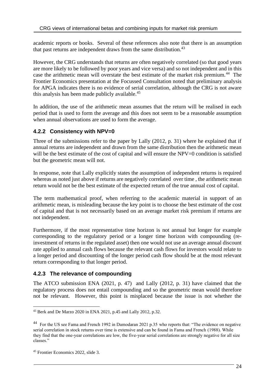academic reports or books. Several of these references also note that there is an assumption that past returns are independent draws from the same distribution.<sup>43</sup>

However, the CRG understands that returns are often negatively correlated (so that good years are more likely to be followed by poor years and vice versa) and so not independent and in this case the arithmetic mean will overstate the best estimate of the market risk premium.<sup>44</sup> The Frontier Economics presentation at the Focussed Consultation noted that preliminary analysis for APGA indicates there is no evidence of serial correlation, although the CRG is not aware this analysis has been made publicly available.<sup>45</sup>

In addition, the use of the arithmetic mean assumes that the return will be realised in each period that is used to form the average and this does not seem to be a reasonable assumption when annual observations are used to form the average.

#### **4.2.2 Consistency with NPV=0**

Three of the submissions refer to the paper by Lally (2012, p. 31) where he explained that if annual returns are independent and drawn from the same distribution then the arithmetic mean will be the best estimate of the cost of capital and will ensure the NPV=0 condition is satisfied but the geometric mean will not.

In response, note that Lally explicitly states the assumption of independent returns is required whereas as noted just above if returns are negatively correlated over time , the arithmetic mean return would not be the best estimate of the expected return of the true annual cost of capital.

The term mathematical proof, when referring to the academic material in support of an arithmetic mean, is misleading because the key point is to choose the best estimate of the cost of capital and that is not necessarily based on an average market risk premium if returns are not independent.

Furthermore, if the most representative time horizon is not annual but longer for example corresponding to the regulatory period or a longer time horizon with compounding (reinvestment of returns in the regulated asset) then one would not use an average annual discount rate applied to annual cash flows because the relevant cash flows for investors would relate to a longer period and discounting of the longer period cash flow should be at the most relevant return corresponding to that longer period.

#### **4.2.3 The relevance of compounding**

The ATCO submission ENA (2021, p. 47) and Lally (2012, p. 31) have claimed that the regulatory process does not entail compounding and so the geometric mean would therefore not be relevant. However, this point is misplaced because the issue is not whether the

<sup>43</sup> Berk and De Marzo 2020 in ENA 2021, p.45 and Lally 2012, p.32.

<sup>44</sup> For the US see Fama and French 1992 in Damodaran 2021 p.35 who reports that: "The evidence on negative serial correlation in stock returns over time is extensive and can be found in Fama and French (1988). While they find that the one-year correlations are low, the five-year serial correlations are strongly negative for all size classes."

<sup>45</sup> Frontier Economics 2022, slide 3.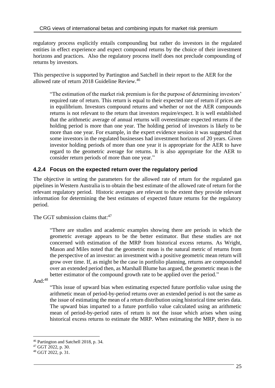regulatory process explicitly entails compounding but rather do investors in the regulated entities in effect experience and expect compound returns by the choice of their investment horizons and practices. Also the regulatory process itself does not preclude compounding of returns by investors.

This perspective is supported by Partington and Satchell in their report to the AER for the allowed rate of return 2018 Guideline Review.<sup>46</sup>

"The estimation of the market risk premium is for the purpose of determining investors' required rate of return. This return is equal to their expected rate of return if prices are in equilibrium. Investors compound returns and whether or not the AER compounds returns is not relevant to the return that investors require/expect. It is well established that the arithmetic average of annual returns will overestimate expected returns if the holding period is more than one year. The holding period of investors is likely to be more than one year. For example, in the expert evidence session it was suggested that some investors in the regulated businesses had investment horizons of 20 years. Given investor holding periods of more than one year it is appropriate for the AER to have regard to the geometric average for returns. It is also appropriate for the AER to consider return periods of more than one year."

#### **4.2.4 Focus on the expected return over the regulatory period**

The objective in setting the parameters for the allowed rate of return for the regulated gas pipelines in Western Australia is to obtain the best estimate of the allowed rate of return for the relevant regulatory period. Historic averages are relevant to the extent they provide relevant information for determining the best estimates of expected future returns for the regulatory period.

The GGT submission claims that:<sup>47</sup>

"There are studies and academic examples showing there are periods in which the geometric average appears to be the better estimator. But these studies are not concerned with estimation of the MRP from historical excess returns. As Wright, Mason and Miles noted that the geometric mean is the natural metric of returns from the perspective of an investor: an investment with a positive geometric mean return will grow over time. If, as might be the case in portfolio planning, returns are compounded over an extended period then, as Marshall Blume has argued, the geometric mean is the better estimator of the compound growth rate to be applied over the period."

And: $48$ 

"This issue of upward bias when estimating expected future portfolio value using the arithmetic mean of period-by-period returns over an extended period is not the same as the issue of estimating the mean of a return distribution using historical time series data. The upward bias imparted to a future portfolio value calculated using an arithmetic mean of period-by-period rates of return is not the issue which arises when using historical excess returns to estimate the MRP. When estimating the MRP, there is no

<sup>46</sup> Partington and Satchell 2018, p. 34.

<sup>47</sup> GGT 2022, p. 30.

 $48$  GGT 2022, p. 31.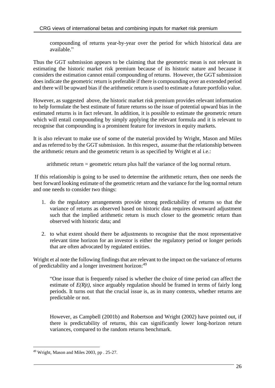compounding of returns year-by-year over the period for which historical data are available."

Thus the GGT submission appears to be claiming that the geometric mean is not relevant in estimating the historic market risk premium because of its historic nature and because it considers the estimation cannot entail compounding of returns. However, the GGT submission does indicate the geometric return is preferable if there is compounding over an extended period and there will be upward bias if the arithmetic return is used to estimate a future portfolio value.

However, as suggested above, the historic market risk premium provides relevant information to help formulate the best estimate of future returns so the issue of potential upward bias in the estimated returns is in fact relevant. In addition, it is possible to estimate the geometric return which will entail compounding by simply applying the relevant formula and it is relevant to recognise that compounding is a prominent feature for investors in equity markets.

It is also relevant to make use of some of the material provided by Wright, Mason and Miles and as referred to by the GGT submission. In this respect, assume that the relationship between the arithmetic return and the geometric return is as specified by Wright et al i.e.:

arithmetic return = geometric return plus half the variance of the log normal return.

If this relationship is going to be used to determine the arithmetic return, then one needs the best forward looking estimate of the geometric return and the variance for the log normal return and one needs to consider two things:

- 1. do the regulatory arrangements provide strong predictability of returns so that the variance of returns as observed based on historic data requires downward adjustment such that the implied arithmetic return is much closer to the geometric return than observed with historic data; and
- 2. to what extent should there be adjustments to recognise that the most representative relevant time horizon for an investor is either the regulatory period or longer periods that are often advocated by regulated entities.

Wright et al note the following findings that are relevant to the impact on the variance of returns of predictability and a longer investment horizon:<sup>49</sup>

"One issue that is frequently raised is whether the choice of time period can affect the estimate of  $E(Rjt)$ , since arguably regulation should be framed in terms of fairly long periods. It turns out that the crucial issue is, as in many contexts, whether returns are predictable or not.

However, as Campbell (2001b) and Robertson and Wright (2002) have pointed out, if there is predictability of returns, this can significantly lower long-horizon return variances, compared to the random returns benchmark.

<sup>49</sup> Wright, Mason and Miles 2003, pp . 25-27.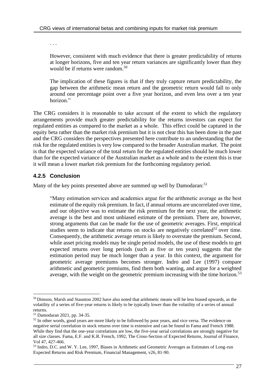. . .

However, consistent with much evidence that there is greater predictability of returns at longer horizons, five and ten year return variances are significantly lower than they would be if returns were random.<sup>50</sup>

The implication of these figures is that if they truly capture return predictability, the gap between the arithmetic mean return and the geometric return would fall to only around one percentage point over a five year horizon, and even less over a ten year horizon."

The CRG considers it is reasonable to take account of the extent to which the regulatory arrangements provide much greater predictability for the returns investors can expect for regulated entities as compared to the market as a whole. This effect could be captured in the equity beta rather than the market risk premium but it is not clear this has been done in the past and the CRG considers the perspectives presented here contribute to an understanding that the risk for the regulated entities is very low compared to the broader Australian market. The point is that the expected variance of the total return for the regulated entities should be much lower than for the expected variance of the Australian market as a whole and to the extent this is true it will mean a lower market risk premium for the forthcoming regulatory period.

#### **4.2.5 Conclusion**

Many of the key points presented above are summed up well by Damodaran:<sup>51</sup>

"Many estimation services and academics argue for the arithmetic average as the best estimate of the equity risk premium. In fact, if annual returns are uncorrelated over time, and our objective was to estimate the risk premium for the next year, the arithmetic average is the best and most unbiased estimate of the premium. There are, however, strong arguments that can be made for the use of geometric averages. First, empirical studies seem to indicate that returns on stocks are negatively correlated<sup>52</sup> over time. Consequently, the arithmetic average return is likely to overstate the premium. Second, while asset pricing models may be single period models, the use of these models to get expected returns over long periods (such as five or ten years) suggests that the estimation period may be much longer than a year. In this context, the argument for geometric average premiums becomes stronger. Indro and Lee (1997) compare arithmetic and geometric premiums, find them both wanting, and argue for a weighted average, with the weight on the geometric premium increasing with the time horizon.<sup>53</sup>

<sup>&</sup>lt;sup>50</sup> Dimson, Marsh and Staunton 2002 have also noted that arithmetic means will be less biased upwards, as the volatility of a series of five-year returns is likely to be typically lower than the volatility of a series of annual returns.

<sup>51</sup> Damodaran 2021, pp. 34-35.

<sup>&</sup>lt;sup>52</sup> In other words, good years are more likely to be followed by poor years, and vice versa. The evidence on negative serial correlation in stock returns over time is extensive and can be found in Fama and French 1988. While they find that the one-year correlations are low, the five-year serial correlations are strongly negative for all size classes. Fama, E.F. and K.R. French, 1992, The Cross-Section of Expected Returns, Journal of Finance, Vol 47, 427-466.

<sup>53</sup> Indro, D.C. and W. Y. Lee, 1997, Biases in Arithmetic and Geometric Averages as Estimates of Long-run Expected Returns and Risk Premium, Financial Management, v26, 81-90.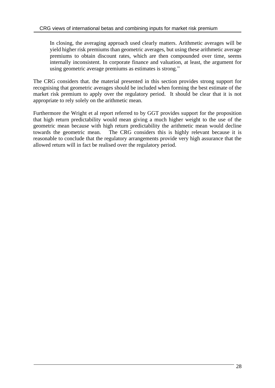In closing, the averaging approach used clearly matters. Arithmetic averages will be yield higher risk premiums than geometric averages, but using these arithmetic average premiums to obtain discount rates, which are then compounded over time, seems internally inconsistent. In corporate finance and valuation, at least, the argument for using geometric average premiums as estimates is strong."

The CRG considers that. the material presented in this section provides strong support for recognising that geometric averages should be included when forming the best estimate of the market risk premium to apply over the regulatory period. It should be clear that it is not appropriate to rely solely on the arithmetic mean.

Furthermore the Wright et al report referred to by GGT provides support for the proposition that high return predictability would mean giving a much higher weight to the use of the geometric mean because with high return predictability the arithmetic mean would decline towards the geometric mean. The CRG considers this is highly relevant because it is reasonable to conclude that the regulatory arrangements provide very high assurance that the allowed return will in fact be realised over the regulatory period.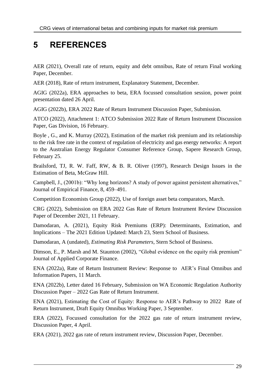## **5 REFERENCES**

AER (2021), Overall rate of return, equity and debt omnibus, Rate of return Final working Paper, December.

AER (2018), Rate of return instrument, Explanatory Statement, December.

AGIG (2022a), ERA approaches to beta, ERA focussed consultation session, power point presentation dated 26 April.

AGIG (2022b), ERA 2022 Rate of Return Instrument Discussion Paper, Submission.

ATCO (2022), Attachment 1: ATCO Submission 2022 Rate of Return Instrument Discussion Paper, Gas Division, 16 February.

Boyle , G., and K. Murray (2022), Estimation of the market risk premium and its relationship to the risk free rate in the context of regulation of electricity and gas energy networks: A report to the Australian Energy Regulator Consumer Reference Group, Sapere Research Group, February 25.

Brailsford, TJ, R. W. Faff, RW, & B. R. Oliver (1997), Research Design Issues in the Estimation of Beta, McGraw Hill.

Campbell, J., (2001b): "Why long horizons? A study of power against persistent alternatives," Journal of Empirical Finance, 8, 459–491.

Competition Economists Group (2022), Use of foreign asset beta comparators, March.

CRG (2022), Submission on ERA 2022 Gas Rate of Return Instrument Review Discussion Paper of December 2021, 11 February.

Damodaran, A. (2021), Equity Risk Premiums (ERP): Determinants, Estimation, and Implications – The 2021 Edition Updated: March 23, Stern School of Business.

Damodaran, A (undated), *Estimating Risk Parameters*, Stern School of Business.

Dimson, E., P. Marsh and M. Staunton (2002), "Global evidence on the equity risk premium" Journal of Applied Corporate Finance.

ENA (2022a), Rate of Return Instrument Review: Response to AER's Final Omnibus and Information Papers, 11 March.

ENA (2022b), Letter dated 16 February, Submission on WA Economic Regulation Authority Discussion Paper – 2022 Gas Rate of Return Instrument.

ENA (2021), Estimating the Cost of Equity: Response to AER's Pathway to 2022 Rate of Return Instrument, Draft Equity Omnibus Working Paper, 3 September.

ERA (2022), Focussed consultation for the 2022 gas rate of return instrument review, Discussion Paper, 4 April.

ERA (2021), 2022 gas rate of return instrument review, Discussion Paper, December.